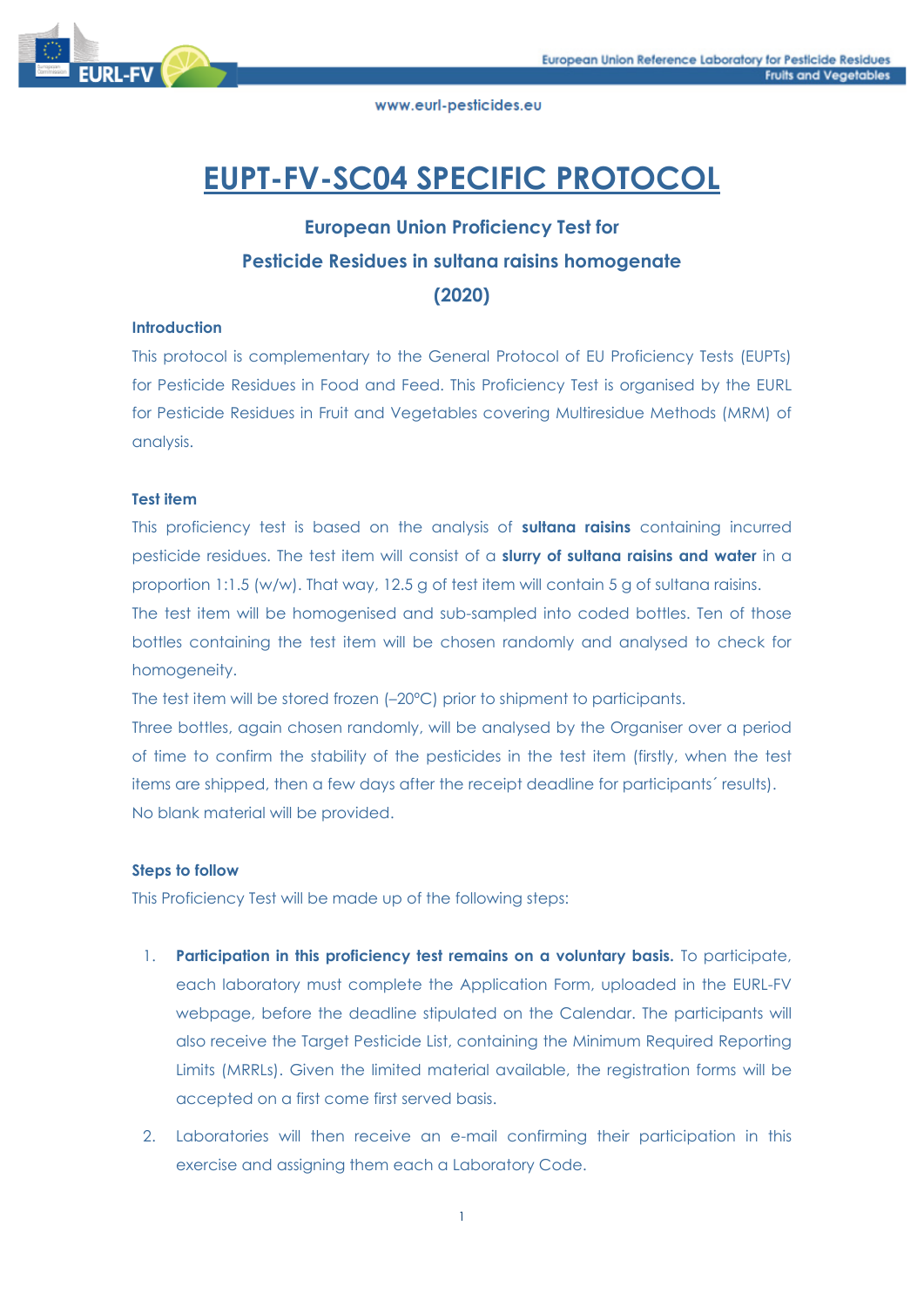

# **EUPT-FV-SC04 SPECIFIC PROTOCOL**

# **European Union Proficiency Test for Pesticide Residues in sultana raisins homogenate**

**(2020)**

# **Introduction**

This protocol is complementary to the General Protocol of EU Proficiency Tests (EUPTs) for Pesticide Residues in Food and Feed. This Proficiency Test is organised by the EURL for Pesticide Residues in Fruit and Vegetables covering Multiresidue Methods (MRM) of analysis.

# **Test item**

This proficiency test is based on the analysis of **sultana raisins** containing incurred pesticide residues. The test item will consist of a **slurry of sultana raisins and water** in a proportion 1:1.5 (w/w). That way, 12.5 g of test item will contain 5 g of sultana raisins. The test item will be homogenised and sub-sampled into coded bottles. Ten of those bottles containing the test item will be chosen randomly and analysed to check for

homogeneity.

The test item will be stored frozen (–20ºC) prior to shipment to participants.

Three bottles, again chosen randomly, will be analysed by the Organiser over a period of time to confirm the stability of the pesticides in the test item (firstly, when the test items are shipped, then a few days after the receipt deadline for participants´ results). No blank material will be provided.

# **Steps to follow**

This Proficiency Test will be made up of the following steps:

- 1. **Participation in this proficiency test remains on a voluntary basis.** To participate, each laboratory must complete the Application Form, uploaded in the EURL-FV webpage, before the deadline stipulated on the Calendar. The participants will also receive the Target Pesticide List, containing the Minimum Required Reporting Limits (MRRLs). Given the limited material available, the registration forms will be accepted on a first come first served basis.
- 2. Laboratories will then receive an e-mail confirming their participation in this exercise and assigning them each a Laboratory Code.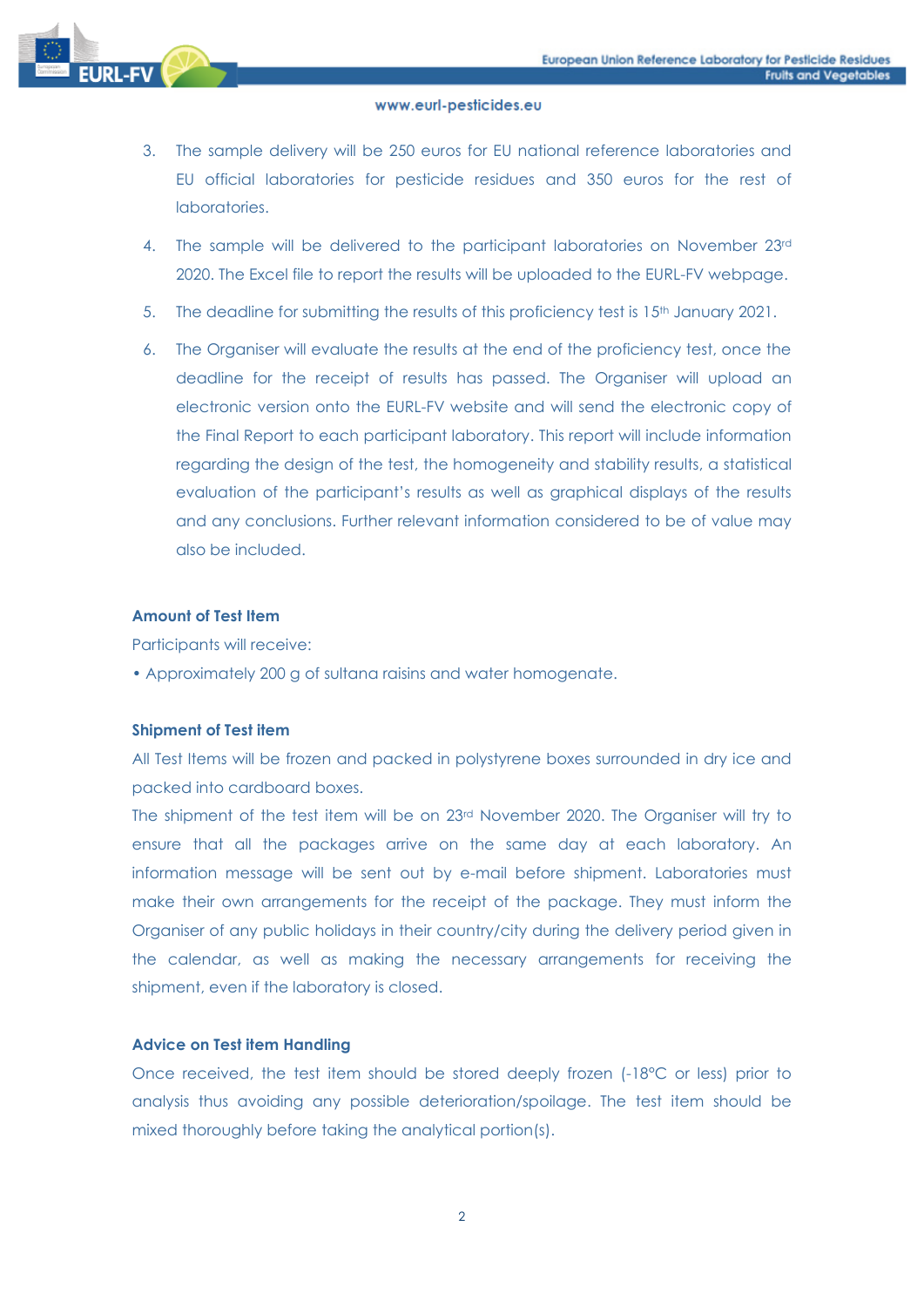

- 3. The sample delivery will be 250 euros for EU national reference laboratories and EU official laboratories for pesticide residues and 350 euros for the rest of laboratories.
- 4. The sample will be delivered to the participant laboratories on November 23rd 2020. The Excel file to report the results will be uploaded to the EURL-FV webpage.
- 5. The deadline for submitting the results of this proficiency test is  $15<sup>th</sup>$  January 2021.
- 6. The Organiser will evaluate the results at the end of the proficiency test, once the deadline for the receipt of results has passed. The Organiser will upload an electronic version onto the EURL-FV website and will send the electronic copy of the Final Report to each participant laboratory. This report will include information regarding the design of the test, the homogeneity and stability results, a statistical evaluation of the participant's results as well as graphical displays of the results and any conclusions. Further relevant information considered to be of value may also be included.

# **Amount of Test Item**

Participants will receive:

• Approximately 200 g of sultana raisins and water homogenate.

# **Shipment of Test item**

All Test Items will be frozen and packed in polystyrene boxes surrounded in dry ice and packed into cardboard boxes.

The shipment of the test item will be on 23rd November 2020. The Organiser will try to ensure that all the packages arrive on the same day at each laboratory. An information message will be sent out by e-mail before shipment. Laboratories must make their own arrangements for the receipt of the package. They must inform the Organiser of any public holidays in their country/city during the delivery period given in the calendar, as well as making the necessary arrangements for receiving the shipment, even if the laboratory is closed.

# **Advice on Test item Handling**

Once received, the test item should be stored deeply frozen (-18°C or less) prior to analysis thus avoiding any possible deterioration/spoilage. The test item should be mixed thoroughly before taking the analytical portion(s).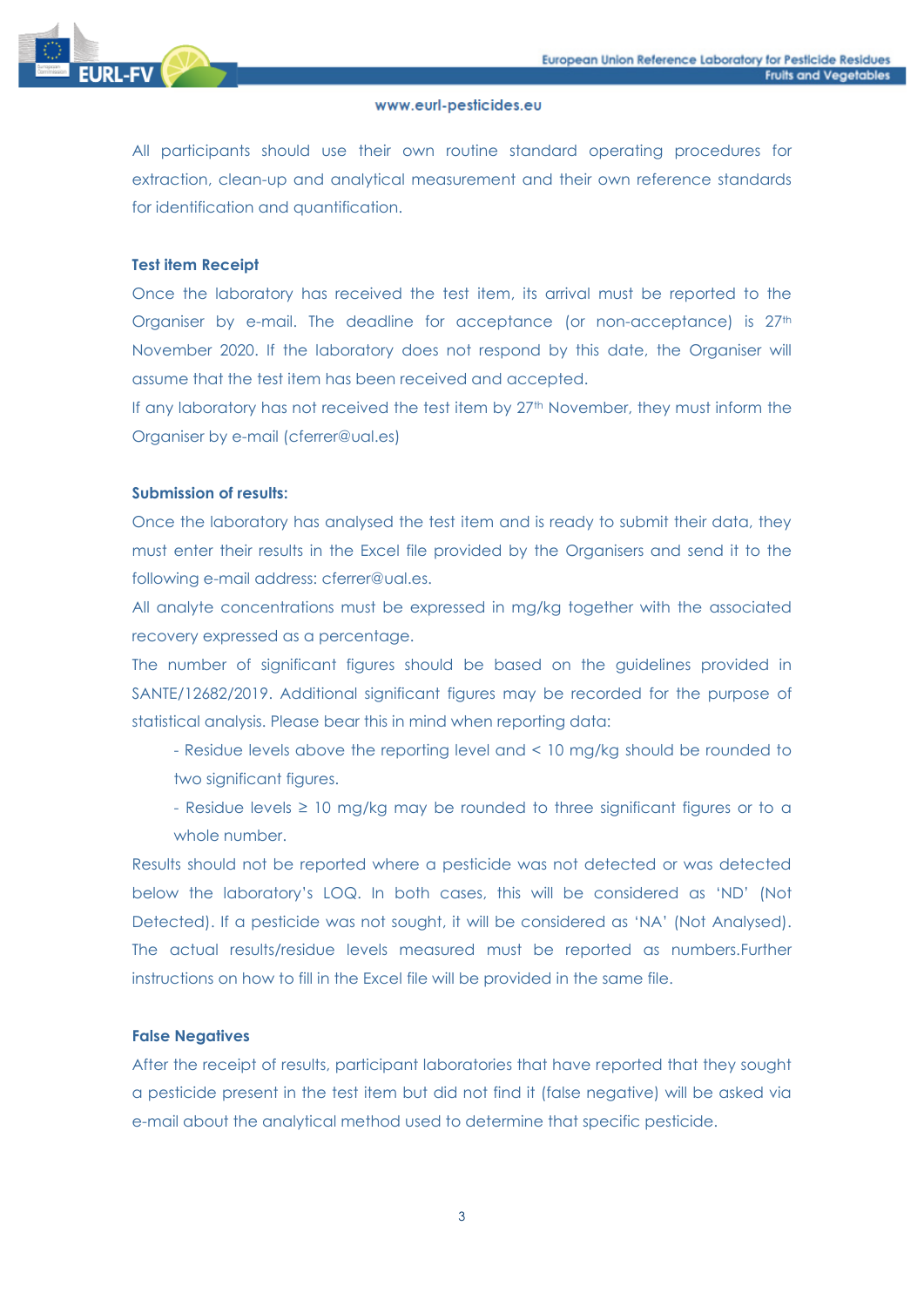

All participants should use their own routine standard operating procedures for extraction, clean-up and analytical measurement and their own reference standards for identification and quantification.

#### **Test item Receipt**

Once the laboratory has received the test item, its arrival must be reported to the Organiser by e-mail. The deadline for acceptance (or non-acceptance) is 27th November 2020. If the laboratory does not respond by this date, the Organiser will assume that the test item has been received and accepted.

If any laboratory has not received the test item by 27<sup>th</sup> November, they must inform the Organiser by e-mail (cferrer@ual.es)

#### **Submission of results:**

Once the laboratory has analysed the test item and is ready to submit their data, they must enter their results in the Excel file provided by the Organisers and send it to the following e-mail address: cferrer@ual.es.

All analyte concentrations must be expressed in mg/kg together with the associated recovery expressed as a percentage.

The number of significant figures should be based on the guidelines provided in SANTE/12682/2019. Additional significant figures may be recorded for the purpose of statistical analysis. Please bear this in mind when reporting data:

- Residue levels above the reporting level and < 10 mg/kg should be rounded to two significant figures.
- Residue levels ≥ 10 mg/kg may be rounded to three significant figures or to a whole number.

Results should not be reported where a pesticide was not detected or was detected below the laboratory's LOQ. In both cases, this will be considered as 'ND' (Not Detected). If a pesticide was not sought, it will be considered as 'NA' (Not Analysed). The actual results/residue levels measured must be reported as numbers.Further instructions on how to fill in the Excel file will be provided in the same file.

# **False Negatives**

After the receipt of results, participant laboratories that have reported that they sought a pesticide present in the test item but did not find it (false negative) will be asked via e-mail about the analytical method used to determine that specific pesticide.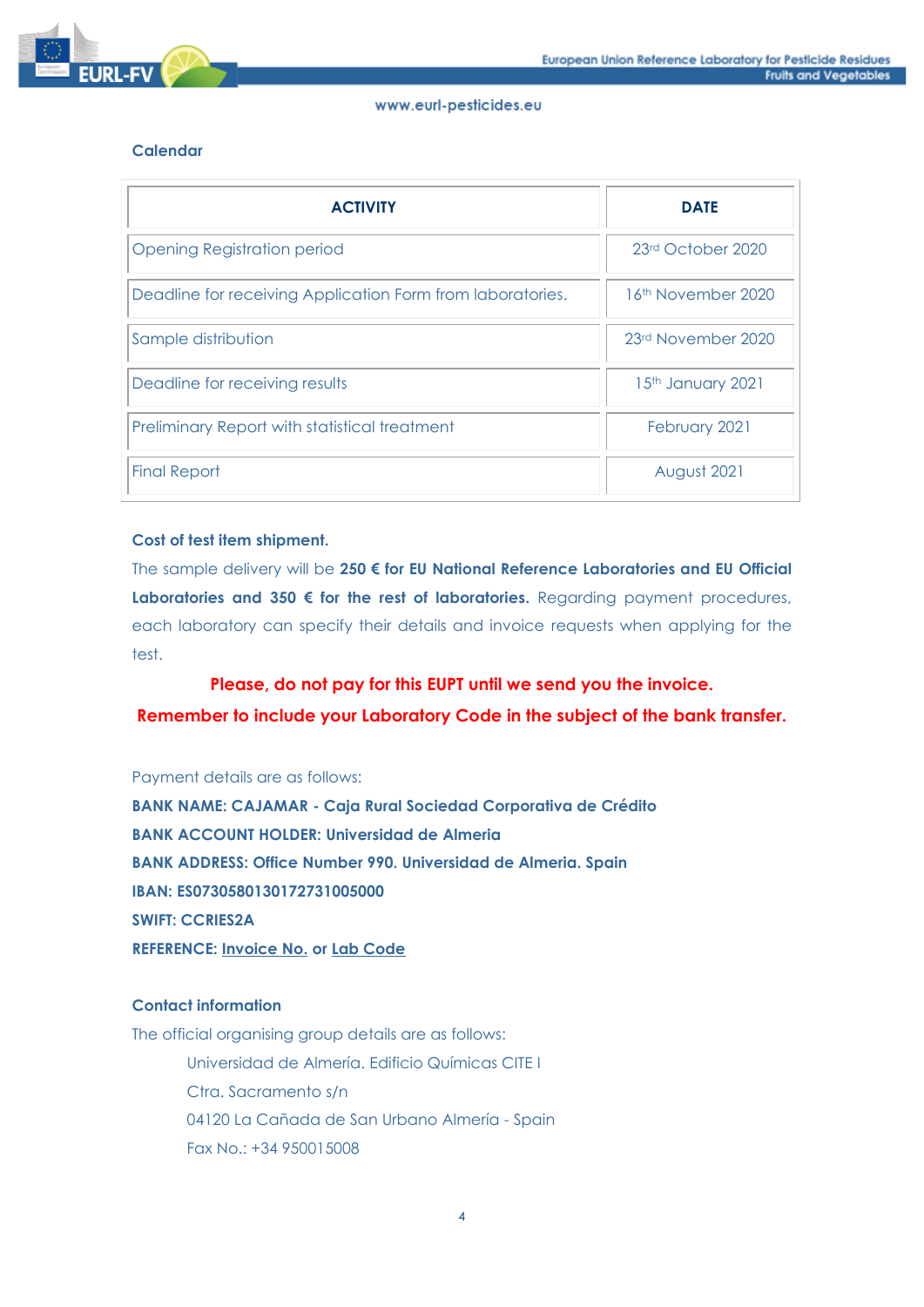

# **Calendar**

| <b>ACTIVITY</b>                                            | <b>DATE</b>                    |
|------------------------------------------------------------|--------------------------------|
| <b>Opening Registration period</b>                         | 23rd October 2020              |
| Deadline for receiving Application Form from laboratories. | 16 <sup>th</sup> November 2020 |
| Sample distribution                                        | 23rd November 2020             |
| Deadline for receiving results                             | 15th January 2021              |
| Preliminary Report with statistical treatment              | February 2021                  |
| <b>Final Report</b>                                        | August 2021                    |

# **Cost of test item shipment.**

The sample delivery will be **250 € for EU National Reference Laboratories and EU Official Laboratories and 350 € for the rest of laboratories.** Regarding payment procedures, each laboratory can specify their details and invoice requests when applying for the test.

# **Please, do not pay for this EUPT until we send you the invoice.**

**Remember to include your Laboratory Code in the subject of the bank transfer.**

Payment details are as follows:

**BANK NAME: CAJAMAR - Caja Rural Sociedad Corporativa de Crédito BANK ACCOUNT HOLDER: Universidad de Almeria BANK ADDRESS: Office Number 990. Universidad de Almeria. Spain IBAN: ES0730580130172731005000 SWIFT: CCRIES2A REFERENCE: Invoice No. or Lab Code**

# **Contact information**

The official organising group details are as follows: Universidad de Almería. Edificio Químicas CITE I Ctra. Sacramento s/n 04120 La Cañada de San Urbano Almería - Spain Fax No.: +34 950015008